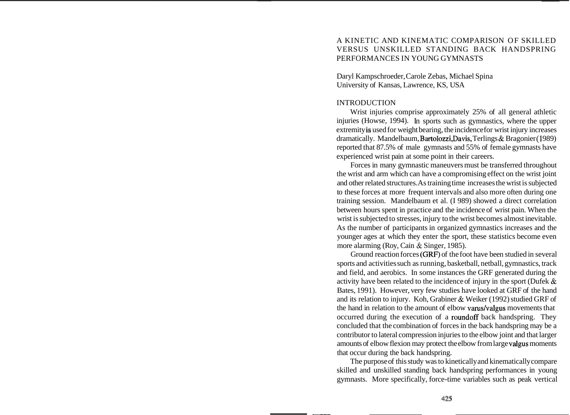## A KINETIC AND KINEMATIC COMPARISON OF SKILLED VERSUS UNSKILLED STANDING BACK HANDSPRING PERFORMANCES IN YOUNG GYMNASTS

Daryl Kampschroeder, Carole Zebas, Michael Spina University of Kansas, Lawrence, KS, USA

#### INTRODUCTION

Wrist injuries comprise approximately 25% of all general athletic injuries (Howse, 1994). In sports such as gymnastics, where the upper extremity is used for weight bearing, the incidence for wrist injury increases dramatically. Mandelbaum, Bartolozzi, Davis, Terlings & Bragonier (1989) reported that 87.5% of male gymnasts and 55% of female gymnasts have experienced wrist pain at some point in their careers.

Forces in many gymnastic maneuvers must be transferred throughout the wrist and arm which can have a compromising effect on the wrist joint and other related structures. As training time increases the wrist is subjected to these forces at more frequent intervals and also more often during one training session. Mandelbaum et al. (I 989) showed a direct correlation between hours spent in practice and the incidence of wrist pain. When the wrist is subjected to stresses, injury to the wrist becomes almost inevitable. As the number of participants in organized gymnastics increases and the younger ages at which they enter the sport, these statistics become even more alarming (Roy, Cain & Singer, 1985).

Ground reaction forces (GRF) of the foot have been studied in several sports and activities such as running, basketball, netball, gymnastics, track and field, and aerobics. In some instances the GRF generated during the activity have been related to the incidence of injury in the sport (Dufek & Bates, 1991). However, very few studies have looked at GRF of the hand and its relation to injury. Koh, Grabiner & Weiker (1992) studied GRF of the hand in relation to the amount of elbow varus/valgus movements that occurred during the execution of a roundoff back handspring. They concluded that the combination of forces in the back handspring may be a contributor to lateral compression injuries to the elbow joint and that larger amounts of elbow flexion may protect the elbow from large valgus moments that occur during the back handspring.

The purpose of this study was to kinetically and kinematically compare skilled and unskilled standing back handspring performances in young gymnasts. More specifically, force-time variables such as peak vertical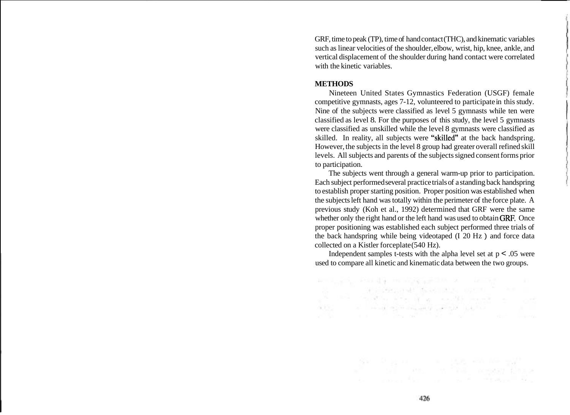GRF, time to peak (TP), time of hand contact (THC), and kinematic variables such as linear velocities of the shoulder, elbow, wrist, hip, knee, ankle, and vertical displacement of the shoulder during hand contact were correlated with the kinetic variables.

#### **METHODS**

Nineteen United States Gymnastics Federation (USGF) female competitive gymnasts, ages 7-12, volunteered to participate in this study. Nine of the subjects were classified as level 5 gymnasts while ten were classified as level 8. For the purposes of this study, the level 5 gymnasts were classified as unskilled while the level 8 gymnasts were classified as skilled. In reality, all subjects were "skilled" at the back handspring. However, the subjects in the level 8 group had greater overall refined skill levels. All subjects and parents of the subjects signed consent forms prior to participation.

The subjects went through a general warm-up prior to participation. Each subject performed several practice trials of a standing back handspring to establish proper starting position. Proper position was established when the subjects left hand was totally within the perimeter of the force plate. A previous study (Koh et al., 1992) determined that GRF were the same whether only the right hand or the left hand was used to obtain GRF, Once proper positioning was established each subject performed three trials of the back handspring while being videotaped (I 20 Hz ) and force data collected on a Kistler forceplate (540 Hz).

Independent samples t-tests with the alpha level set at  $p < .05$  were used to compare all kinetic and kinematic data between the two groups.

The complete source of the complete the complete that the

#FILSO, ANDIA HOORSEN X - ADS

the the constitution of the constitution of the constitution of the constitution of the ALC: A REPORT OF BUILDING AND A REPORT

so a moral because the control of the second states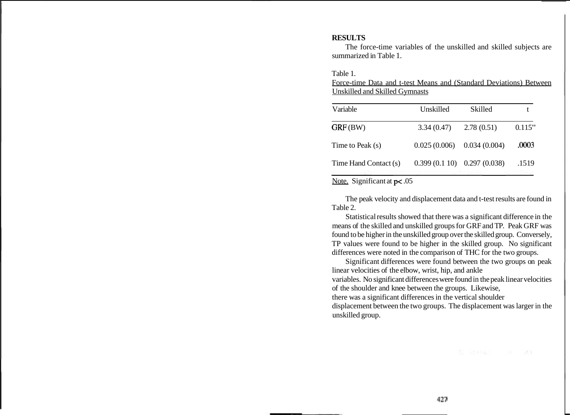## **RESULTS**

The force-time variables of the unskilled and skilled subjects are summarized in Table 1.

Table 1.

Force-time Data and t-test Means and (Standard Deviations) Between Unskilled and Skilled Gymnasts

| Variable              | Unskilled                     | Skilled    |        |
|-----------------------|-------------------------------|------------|--------|
| GRF(BW)               | 3.34(0.47)                    | 2.78(0.51) | 0.115" |
| Time to Peak (s)      | $0.025(0.006)$ $0.034(0.004)$ |            | .0003  |
| Time Hand Contact (s) | $0.399(0.110)$ $0.297(0.038)$ |            | .1519  |

# Note. Significant at  $p < .05$

The peak velocity and displacement data and t-test results are found in Table 2.

Statistical results showed that there was a significant difference in the means of the skilled and unskilled groups for GRF and TP. Peak GRF was found to be higher in the unskilled group over the skilled group. Conversely, TP values were found to be higher in the skilled group. No significant differences were noted in the comparison of THC for the two groups.

Significant differences were found between the two groups on peak linear velocities of the elbow, wrist, hip, and ankle variables. No significant differences were found in the peak linear velocities of the shoulder and knee between the groups. Likewise, there was a significant differences in the vertical shoulder displacement between the two groups. The displacement was larger in the unskilled group.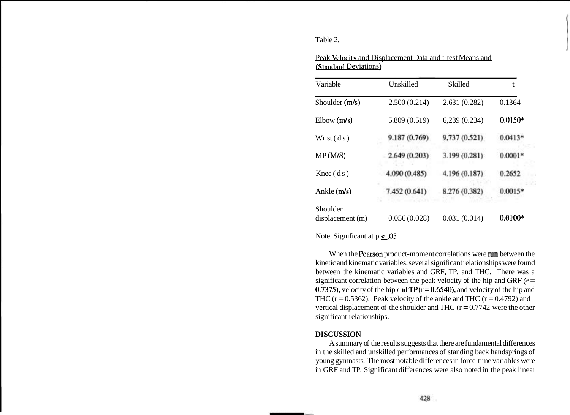Table 2.

| Variable                     | Unskilled     | <b>Skilled</b> | t         |
|------------------------------|---------------|----------------|-----------|
| Shoulder (m/s)               | 2.500(0.214)  | 2.631(0.282)   | 0.1364    |
| Elbow(m/s)                   | 5.809 (0.519) | 6,239(0.234)   | $0.0150*$ |
| Wrist $(d s)$                | 9.187 (0.769) | 9,737 (0.521). | $0.0413*$ |
| MP(M/S)                      | 2.649 (0.203) | 3.199 (0.281)  | $0.0001*$ |
| $Knee$ (ds)                  | 4.090 (0.485) | 4.196 (0.187)  | 0.2652    |
| Ankle $(m/s)$                | 7.452 (0.641) | 8.276 (0.382)  | $0.0015*$ |
| Shoulder<br>displacement (m) | 0.056(0.028)  | 0.031(0.014)   | $0.0100*$ |

Peak Velocity and Displacement Data and t-test Means and /Standard Deviations)

Note. Significant at  $p \leq .05$ 

When the Pearson product-moment correlations were run between the kinetic and kinematic variables, several significant relationships were found between the kinematic variables and GRF, TP, and THC. There was a significant correlation between the peak velocity of the hip and GRF  $(r =$ 0.7375), velocity of the hip and  $TP(r = 0.6540)$ , and velocity of the hip and THC ( $r = 0.5362$ ). Peak velocity of the ankle and THC ( $r = 0.4792$ ) and vertical displacement of the shoulder and THC  $(r = 0.7742)$  were the other significant relationships.

### **DISCUSSION**

A summary of the results suggests that there are fundamental differences in the skilled and unskilled performances of standing back handsprings of young gymnasts. The most notable differences in force-time variables were in GRF and TP. Significant differences were also noted in the peak linear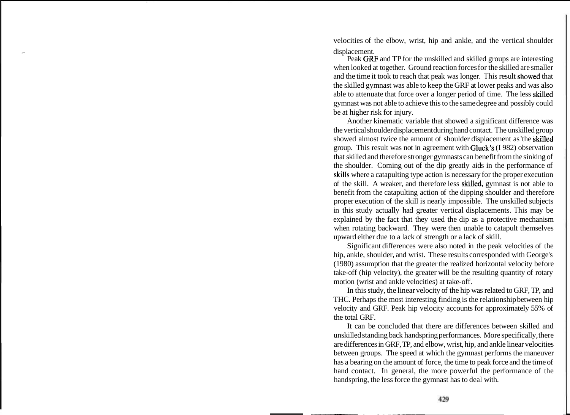velocities of the elbow, wrist, hip and ankle, and the vertical shoulder displacement.

Peak GRF and TP for the unskilled and skilled groups are interesting when looked at together. Ground reaction forces for the skilled are smaller and the time it took to reach that peak was longer. This result sbowed that the skilled gymnast was able to keep the GRF at lower peaks and was also able to attenuate that force over a longer period of time. The less skilled gymnast was not able to achieve this to the same degree and possibly could be at higher risk for injury.

Another kinematic variable that showed a significant difference was the vertical shoulder displacement during hand contact. The unskilled group showed almost twice the amount of shoulder displacement as 'the skilled group. This result was not in agreement with Gluck'S (I 982) observation that skilled and therefore stronger gymnasts can benefit from the sinking of the shoulder. Coming out of the dip greatly aids in the performance of skills where a catapulting type action is necessary for the proper execution of the skill. A weaker, and therefore less skilled, gymnast is not able to benefit from the catapulting action of the dipping shoulder and therefore proper execution of the skill is nearly impossible. The unskilled subjects in this study actually had greater vertical displacements. This may be explained by the fact that they used the dip as a protective mechanism when rotating backward. They were then unable to catapult themselves upward either due to a lack of strength or a lack of skill.

Significant differences were also noted in the peak velocities of the hip, ankle, shoulder, and wrist. These results corresponded with George's (1980) assumption that the greater the realized horizontal velocity before take-off (hip velocity), the greater will be the resulting quantity of rotary motion (wrist and ankle velocities) at take-off.

In this study, the linear velocity of the hip was related to GRF, TP, and THC. Perhaps the most interesting finding is the relationship between hip velocity and GRF. Peak hip velocity accounts for approximately 55% of the total GRF.

It can be concluded that there are differences between skilled and unskilled standing back handspring performances. More specifically, there are differences in GRF, TP, and elbow, wrist, hip, and ankle linear velocities between groups. The speed at which the gymnast performs the maneuver has a bearing on the amount of force, the time to peak force and the time of hand contact. In general, the more powerful the performance of the handspring, the less force the gymnast has to deal with.